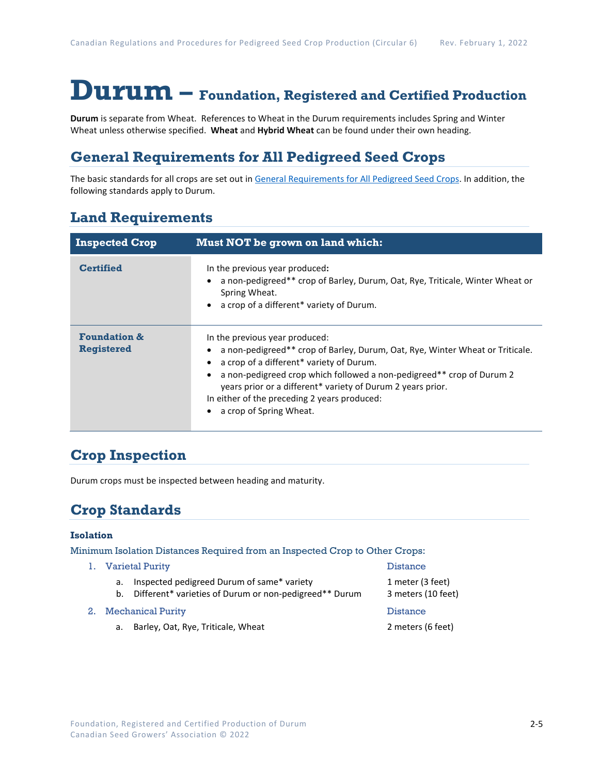# **Durum – Foundation, Registered and Certified Production**

**Durum** is separate from Wheat. References to Wheat in the Durum requirements includes Spring and Winter Wheat unless otherwise specified. **Wheat** and **Hybrid Wheat** can be found under their own heading.

## **General Requirements for All Pedigreed Seed Crops**

The basic standards for all crops are set out i[n General Requirements for All Pedigreed Seed](https://seedgrowers.ca/wp-content/uploads/2020/01/GENERAL-REQUIREMENTS-ALL-CROPS_EN.pdf) Crops. In addition, the following standards apply to Durum.

### **Land Requirements**

| <b>Inspected Crop</b>                        | <b>Must NOT be grown on land which:</b>                                                                                                                                                                                                                                                                                                                                        |
|----------------------------------------------|--------------------------------------------------------------------------------------------------------------------------------------------------------------------------------------------------------------------------------------------------------------------------------------------------------------------------------------------------------------------------------|
| <b>Certified</b>                             | In the previous year produced:<br>a non-pedigreed** crop of Barley, Durum, Oat, Rye, Triticale, Winter Wheat or<br>Spring Wheat.<br>a crop of a different* variety of Durum.                                                                                                                                                                                                   |
| <b>Foundation &amp;</b><br><b>Registered</b> | In the previous year produced:<br>a non-pedigreed** crop of Barley, Durum, Oat, Rye, Winter Wheat or Triticale.<br>a crop of a different* variety of Durum.<br>a non-pedigreed crop which followed a non-pedigreed** crop of Durum 2<br>years prior or a different* variety of Durum 2 years prior.<br>In either of the preceding 2 years produced:<br>a crop of Spring Wheat. |

### **Crop Inspection**

Durum crops must be inspected between heading and maturity.

## **Crop Standards**

#### **Isolation**

Minimum Isolation Distances Required from an Inspected Crop to Other Crops:

1. Varietal Purity Distance a. Inspected pedigreed Durum of same\* variety 1 meter (3 feet) b. Different\* varieties of Durum or non-pedigreed\*\* Durum 3 meters (10 feet) 2. Mechanical Purity **Distance** Distance a. Barley, Oat, Rye, Triticale, Wheat 2 meters (6 feet)